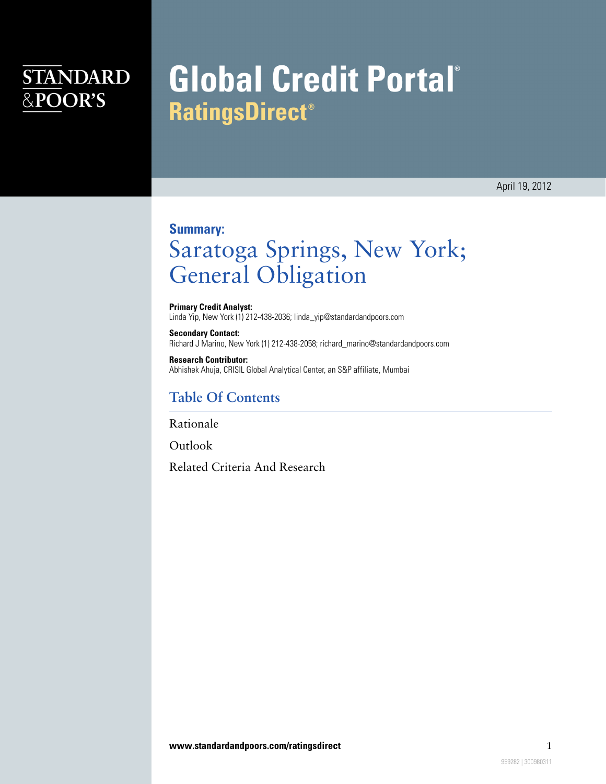## **STANDARD** &POOR'S

# **Global Credit Portal® RatingsDirect®**

April 19, 2012

#### **Summary:**

## Saratoga Springs, New York; General Obligation

**Primary Credit Analyst:** Linda Yip, New York (1) 212-438-2036; linda\_yip@standardandpoors.com

**Secondary Contact:** Richard J Marino, New York (1) 212-438-2058; richard\_marino@standardandpoors.com

**Research Contributor:** Abhishek Ahuja, CRISIL Global Analytical Center, an S&P affiliate, Mumbai

#### **Table Of Contents**

[Rationale](#page-1-0)

**[Outlook](#page-3-0)** 

[Related Criteria And Research](#page-3-1)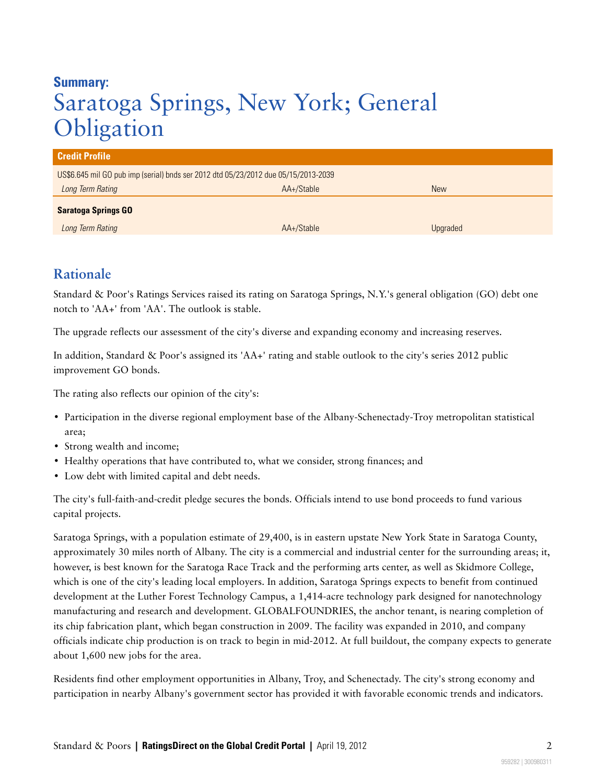### **Summary:** Saratoga Springs, New York; General **Obligation**

| <b>Credit Profile</b>                                                              |            |            |
|------------------------------------------------------------------------------------|------------|------------|
| US\$6.645 mil GO pub imp (serial) bnds ser 2012 dtd 05/23/2012 due 05/15/2013-2039 |            |            |
| Long Term Rating                                                                   | AA+/Stable | <b>New</b> |
| <b>Saratoga Springs GO</b>                                                         |            |            |
| Long Term Rating                                                                   | AA+/Stable | Upgraded   |

#### <span id="page-1-0"></span>**Rationale**

Standard & Poor's Ratings Services raised its rating on Saratoga Springs, N.Y.'s general obligation (GO) debt one notch to 'AA+' from 'AA'. The outlook is stable.

The upgrade reflects our assessment of the city's diverse and expanding economy and increasing reserves.

In addition, Standard & Poor's assigned its 'AA+' rating and stable outlook to the city's series 2012 public improvement GO bonds.

The rating also reflects our opinion of the city's:

- Participation in the diverse regional employment base of the Albany-Schenectady-Troy metropolitan statistical area;
- Strong wealth and income;
- Healthy operations that have contributed to, what we consider, strong finances; and
- Low debt with limited capital and debt needs.

The city's full-faith-and-credit pledge secures the bonds. Officials intend to use bond proceeds to fund various capital projects.

Saratoga Springs, with a population estimate of 29,400, is in eastern upstate New York State in Saratoga County, approximately 30 miles north of Albany. The city is a commercial and industrial center for the surrounding areas; it, however, is best known for the Saratoga Race Track and the performing arts center, as well as Skidmore College, which is one of the city's leading local employers. In addition, Saratoga Springs expects to benefit from continued development at the Luther Forest Technology Campus, a 1,414-acre technology park designed for nanotechnology manufacturing and research and development. GLOBALFOUNDRIES, the anchor tenant, is nearing completion of its chip fabrication plant, which began construction in 2009. The facility was expanded in 2010, and company officials indicate chip production is on track to begin in mid-2012. At full buildout, the company expects to generate about 1,600 new jobs for the area.

Residents find other employment opportunities in Albany, Troy, and Schenectady. The city's strong economy and participation in nearby Albany's government sector has provided it with favorable economic trends and indicators.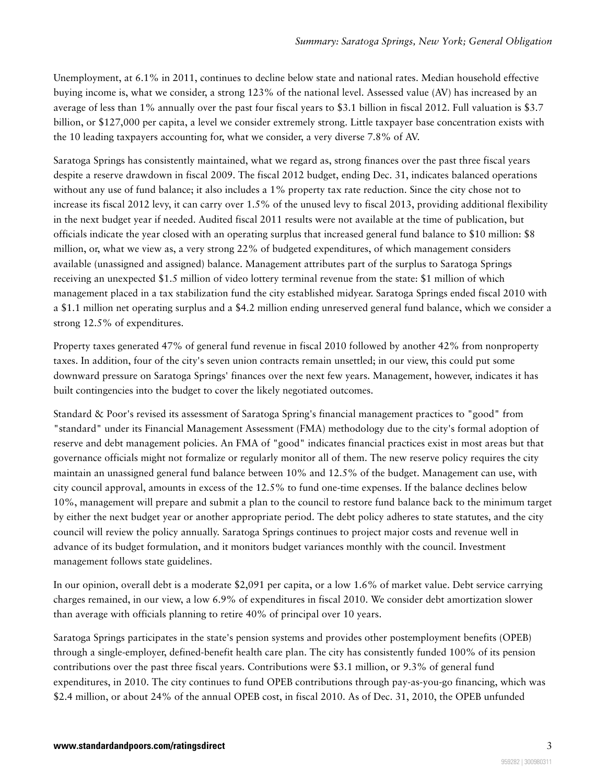Unemployment, at 6.1% in 2011, continues to decline below state and national rates. Median household effective buying income is, what we consider, a strong 123% of the national level. Assessed value (AV) has increased by an average of less than 1% annually over the past four fiscal years to \$3.1 billion in fiscal 2012. Full valuation is \$3.7 billion, or \$127,000 per capita, a level we consider extremely strong. Little taxpayer base concentration exists with the 10 leading taxpayers accounting for, what we consider, a very diverse 7.8% of AV.

Saratoga Springs has consistently maintained, what we regard as, strong finances over the past three fiscal years despite a reserve drawdown in fiscal 2009. The fiscal 2012 budget, ending Dec. 31, indicates balanced operations without any use of fund balance; it also includes a 1% property tax rate reduction. Since the city chose not to increase its fiscal 2012 levy, it can carry over 1.5% of the unused levy to fiscal 2013, providing additional flexibility in the next budget year if needed. Audited fiscal 2011 results were not available at the time of publication, but officials indicate the year closed with an operating surplus that increased general fund balance to \$10 million: \$8 million, or, what we view as, a very strong 22% of budgeted expenditures, of which management considers available (unassigned and assigned) balance. Management attributes part of the surplus to Saratoga Springs receiving an unexpected \$1.5 million of video lottery terminal revenue from the state: \$1 million of which management placed in a tax stabilization fund the city established midyear. Saratoga Springs ended fiscal 2010 with a \$1.1 million net operating surplus and a \$4.2 million ending unreserved general fund balance, which we consider a strong 12.5% of expenditures.

Property taxes generated 47% of general fund revenue in fiscal 2010 followed by another 42% from nonproperty taxes. In addition, four of the city's seven union contracts remain unsettled; in our view, this could put some downward pressure on Saratoga Springs' finances over the next few years. Management, however, indicates it has built contingencies into the budget to cover the likely negotiated outcomes.

Standard & Poor's revised its assessment of Saratoga Spring's financial management practices to "good" from "standard" under its Financial Management Assessment (FMA) methodology due to the city's formal adoption of reserve and debt management policies. An FMA of "good" indicates financial practices exist in most areas but that governance officials might not formalize or regularly monitor all of them. The new reserve policy requires the city maintain an unassigned general fund balance between 10% and 12.5% of the budget. Management can use, with city council approval, amounts in excess of the 12.5% to fund one-time expenses. If the balance declines below 10%, management will prepare and submit a plan to the council to restore fund balance back to the minimum target by either the next budget year or another appropriate period. The debt policy adheres to state statutes, and the city council will review the policy annually. Saratoga Springs continues to project major costs and revenue well in advance of its budget formulation, and it monitors budget variances monthly with the council. Investment management follows state guidelines.

In our opinion, overall debt is a moderate \$2,091 per capita, or a low 1.6% of market value. Debt service carrying charges remained, in our view, a low 6.9% of expenditures in fiscal 2010. We consider debt amortization slower than average with officials planning to retire 40% of principal over 10 years.

Saratoga Springs participates in the state's pension systems and provides other postemployment benefits (OPEB) through a single-employer, defined-benefit health care plan. The city has consistently funded 100% of its pension contributions over the past three fiscal years. Contributions were \$3.1 million, or 9.3% of general fund expenditures, in 2010. The city continues to fund OPEB contributions through pay-as-you-go financing, which was \$2.4 million, or about 24% of the annual OPEB cost, in fiscal 2010. As of Dec. 31, 2010, the OPEB unfunded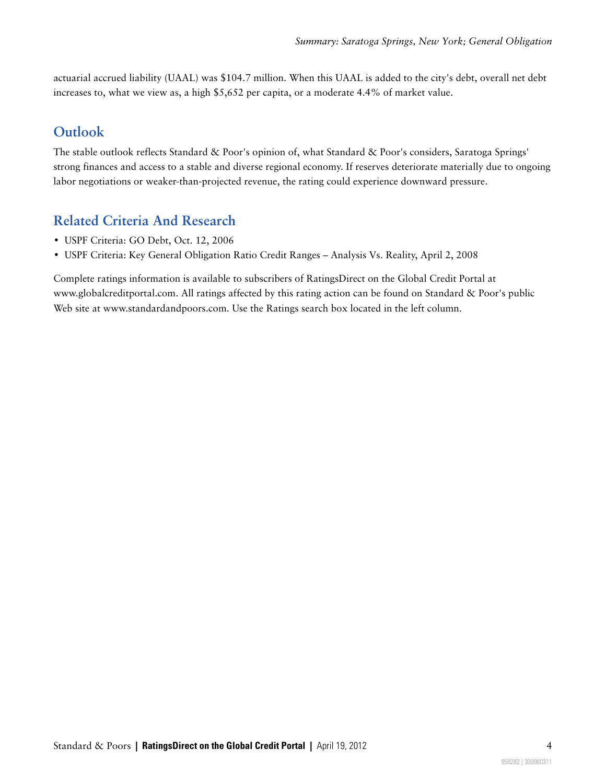actuarial accrued liability (UAAL) was \$104.7 million. When this UAAL is added to the city's debt, overall net debt increases to, what we view as, a high \$5,652 per capita, or a moderate 4.4% of market value.

#### <span id="page-3-0"></span>**Outlook**

The stable outlook reflects Standard & Poor's opinion of, what Standard & Poor's considers, Saratoga Springs' strong finances and access to a stable and diverse regional economy. If reserves deteriorate materially due to ongoing labor negotiations or weaker-than-projected revenue, the rating could experience downward pressure.

#### <span id="page-3-1"></span>**Related Criteria And Research**

- USPF Criteria: GO Debt, Oct. 12, 2006
- USPF Criteria: Key General Obligation Ratio Credit Ranges Analysis Vs. Reality, April 2, 2008

Complete ratings information is available to subscribers of RatingsDirect on the Global Credit Portal at www.globalcreditportal.com. All ratings affected by this rating action can be found on Standard & Poor's public Web site at www.standardandpoors.com. Use the Ratings search box located in the left column.